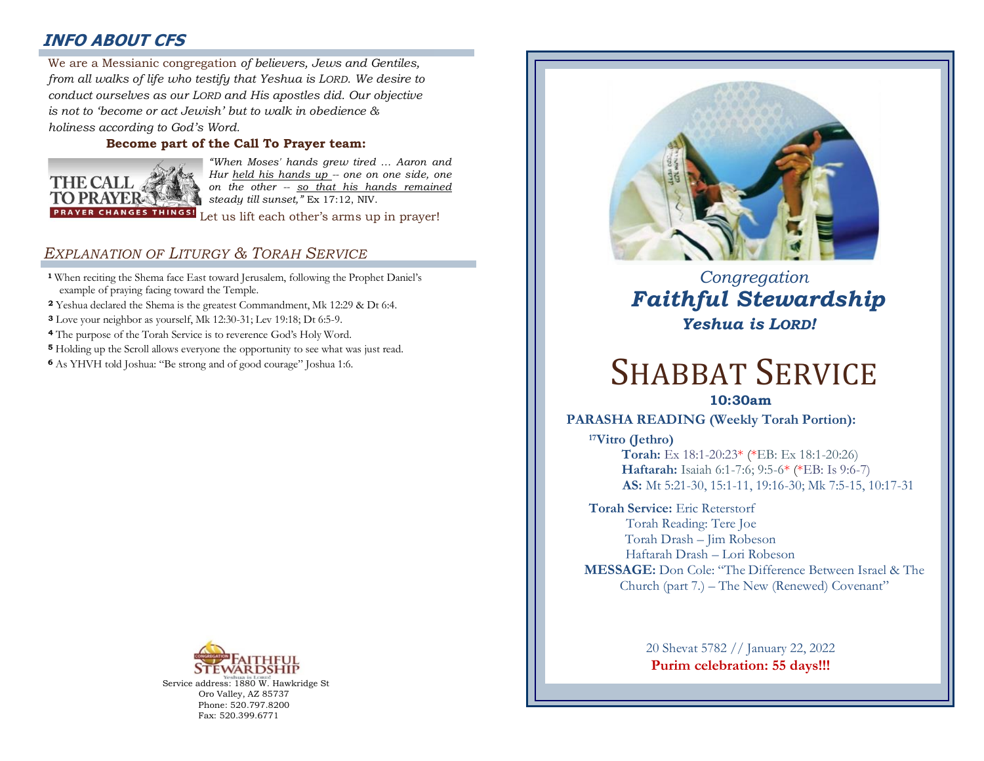# **INFO ABOUT CFS**

: *from all walks of life who testify that Yeshua is LORD. We desire to*  We are a Messianic congregation *of believers, Jews and Gentiles, conduct ourselves as our LORD and His apostles did. Our objective is not to 'become or act Jewish' but to walk in obedience & holiness according to God's Word.* 

#### **Become part of the Call To Prayer team:**



*"When Moses' hands grew tired … Aaron and Hur held his hands up -- one on one side, one on the other -- so that his hands remained steady till sunset,"* Ex 17:12, NIV.

Let us lift each other's arms up in prayer!

## *EXPLANATION OF LITURGY & TORAH SERVICE*

- **<sup>1</sup>** When reciting the Shema face East toward Jerusalem, following the Prophet Daniel's example of praying facing toward the Temple.
- **<sup>2</sup>** Yeshua declared the Shema is the greatest Commandment, Mk 12:29 & Dt 6:4.
- **<sup>3</sup>** Love your neighbor as yourself, Mk 12:30-31; Lev 19:18; Dt 6:5-9.
- **<sup>4</sup>** The purpose of the Torah Service is to reverence God's Holy Word.
- **<sup>5</sup>** Holding up the Scroll allows everyone the opportunity to see what was just read.
- **<sup>6</sup>**As YHVH told Joshua: "Be strong and of good courage" Joshua 1:6.



Service address: 1880 W. Hawkridge St Oro Valley, AZ 85737 Phone: 520.797.8200 Fax: 520.399.6771



# *Congregation Faithful Stewardship Yeshua is LORD!*

# SHABBAT SERVICE

**10:30am**

## **PARASHA READING (Weekly Torah Portion):**

**<sup>17</sup>Vitro (Jethro) Torah:** Ex 18:1-20:23\* (\*EB: Ex 18:1-20:26)  **Haftarah:** Isaiah 6:1-7:6; 9:5-6\* (\*EB: Is 9:6-7) **AS:** Mt 5:21-30, 15:1-11, 19:16-30; Mk 7:5-15, 10:17-31

**Torah Service:** Eric Reterstorf Torah Reading: Tere Joe Torah Drash – Jim Robeson Haftarah Drash – Lori Robeson **MESSAGE:** Don Cole: "The Difference Between Israel & The Church (part 7*.*) – The New (Renewed) Covenant"

> 20 Shevat 5782 // January 22, 2022 **Purim celebration: 55 days!!!**